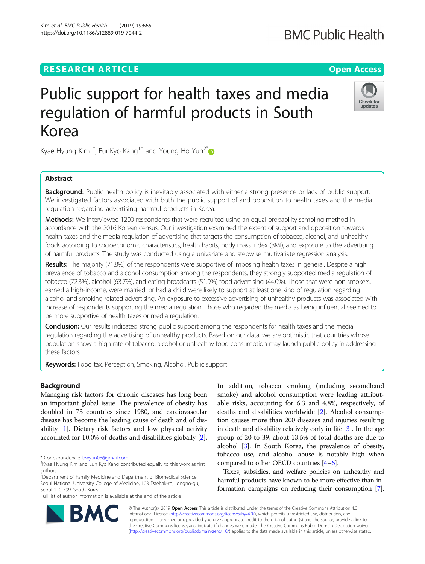## **RESEARCH ARTICLE Example 2018 12:30 The Contract of Contract Contract Open Access**

# Public support for health taxes and media regulation of harmful products in South Korea

Kyae Hyung Kim $^{1+}$ , EunKyo Kang $^{1+}$  and Young Ho Yun $^{2^*}$ 

### Abstract

Background: Public health policy is inevitably associated with either a strong presence or lack of public support. We investigated factors associated with both the public support of and opposition to health taxes and the media regulation regarding advertising harmful products in Korea.

Methods: We interviewed 1200 respondents that were recruited using an equal-probability sampling method in accordance with the 2016 Korean census. Our investigation examined the extent of support and opposition towards health taxes and the media regulation of advertising that targets the consumption of tobacco, alcohol, and unhealthy foods according to socioeconomic characteristics, health habits, body mass index (BMI), and exposure to the advertising of harmful products. The study was conducted using a univariate and stepwise multivariate regression analysis.

Results: The majority (71.8%) of the respondents were supportive of imposing health taxes in general. Despite a high prevalence of tobacco and alcohol consumption among the respondents, they strongly supported media regulation of tobacco (72.3%), alcohol (63.7%), and eating broadcasts (51.9%) food advertising (44.0%). Those that were non-smokers, earned a high-income, were married, or had a child were likely to support at least one kind of regulation regarding alcohol and smoking related advertising. An exposure to excessive advertising of unhealthy products was associated with increase of respondents supporting the media regulation. Those who regarded the media as being influential seemed to be more supportive of health taxes or media regulation.

**Conclusion:** Our results indicated strong public support among the respondents for health taxes and the media regulation regarding the advertising of unhealthy products. Based on our data, we are optimistic that countries whose population show a high rate of tobacco, alcohol or unhealthy food consumption may launch public policy in addressing these factors.

Keywords: Food tax, Perception, Smoking, Alcohol, Public support

#### Background

Managing risk factors for chronic diseases has long been an important global issue. The prevalence of obesity has doubled in 73 countries since 1980, and cardiovascular disease has become the leading cause of death and of disability [\[1](#page-10-0)]. Dietary risk factors and low physical activity accounted for 10.0% of deaths and disabilities globally [[2](#page-10-0)].

<sup>2</sup>Department of Family Medicine and Department of Biomedical Science, Seoul National University College of Medicine, 103 Daehak-ro, Jongno-gu, Seoul 110-799, South Korea

Full list of author information is available at the end of the article

able risks, accounting for 6.3 and 4.8%, respectively, of deaths and disabilities worldwide [\[2](#page-10-0)]. Alcohol consumption causes more than 200 diseases and injuries resulting in death and disability relatively early in life [\[3](#page-10-0)]. In the age group of 20 to 39, about 13.5% of total deaths are due to alcohol [[3\]](#page-10-0). In South Korea, the prevalence of obesity, tobacco use, and alcohol abuse is notably high when compared to other OECD countries [\[4](#page-10-0)–[6](#page-10-0)]. Taxes, subsidies, and welfare policies on unhealthy and

In addition, tobacco smoking (including secondhand smoke) and alcohol consumption were leading attribut-

harmful products have known to be more effective than information campaigns on reducing their consumption [[7](#page-10-0)].

© The Author(s). 2019 **Open Access** This article is distributed under the terms of the Creative Commons Attribution 4.0 BA International License [\(http://creativecommons.org/licenses/by/4.0/](http://creativecommons.org/licenses/by/4.0/)), which permits unrestricted use, distribution, and

reproduction in any medium, provided you give appropriate credit to the original author(s) and the source, provide a link to the Creative Commons license, and indicate if changes were made. The Creative Commons Public Domain Dedication waiver [\(http://creativecommons.org/publicdomain/zero/1.0/](http://creativecommons.org/publicdomain/zero/1.0/)) applies to the data made available in this article, unless otherwise stated.





<sup>\*</sup> Correspondence: [lawyun08@gmail.com](mailto:lawyun08@gmail.com) †

<sup>&</sup>lt;sup>+</sup>Kyae Hyung Kim and Eun Kyo Kang contributed equally to this work as first authors.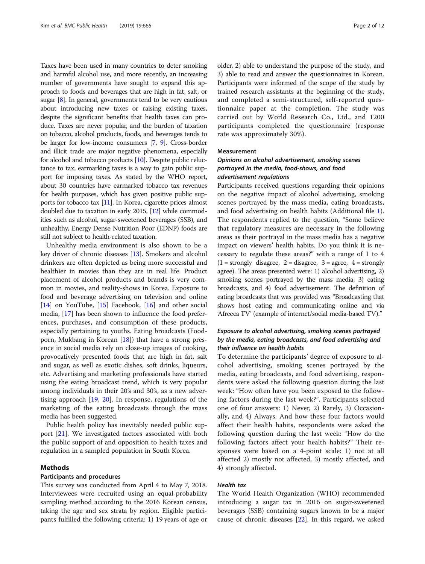Taxes have been used in many countries to deter smoking and harmful alcohol use, and more recently, an increasing number of governments have sought to expand this approach to foods and beverages that are high in fat, salt, or sugar [[8](#page-10-0)]. In general, governments tend to be very cautious about introducing new taxes or raising existing taxes, despite the significant benefits that health taxes can produce. Taxes are never popular, and the burden of taxation on tobacco, alcohol products, foods, and beverages tends to be larger for low-income consumers [\[7](#page-10-0), [9](#page-10-0)]. Cross-border and illicit trade are major negative phenomena, especially for alcohol and tobacco products [[10](#page-10-0)]. Despite public reluctance to tax, earmarking taxes is a way to gain public support for imposing taxes. As stated by the WHO report, about 30 countries have earmarked tobacco tax revenues for health purposes, which has given positive public supports for tobacco tax [\[11\]](#page-10-0). In Korea, cigarette prices almost doubled due to taxation in early 2015, [\[12](#page-10-0)] while commodities such as alcohol, sugar-sweetened beverages (SSB), and unhealthy, Energy Dense Nutrition Poor (EDNP) foods are still not subject to health-related taxation.

Unhealthy media environment is also shown to be a key driver of chronic diseases [[13\]](#page-10-0). Smokers and alcohol drinkers are often depicted as being more successful and healthier in movies than they are in real life. Product placement of alcohol products and brands is very common in movies, and reality-shows in Korea. Exposure to food and beverage advertising on television and online [[14\]](#page-10-0) on YouTube,  $[15]$  $[15]$  Facebook, [[16\]](#page-10-0) and other social media, [[17\]](#page-10-0) has been shown to influence the food preferences, purchases, and consumption of these products, especially pertaining to youths. Eating broadcasts (Foodporn, Mukbang in Korean  $[18]$  $[18]$  $[18]$ ) that have a strong presence in social media rely on close-up images of cooking, provocatively presented foods that are high in fat, salt and sugar, as well as exotic dishes, soft drinks, liqueurs, etc. Advertising and marketing professionals have started using the eating broadcast trend, which is very popular among individuals in their 20's and 30's, as a new advertising approach [[19](#page-10-0), [20](#page-10-0)]. In response, regulations of the marketing of the eating broadcasts through the mass media has been suggested.

Public health policy has inevitably needed public support [\[21](#page-10-0)]. We investigated factors associated with both the public support of and opposition to health taxes and regulation in a sampled population in South Korea.

#### Methods

#### Participants and procedures

This survey was conducted from April 4 to May 7, 2018. Interviewees were recruited using an equal-probability sampling method according to the 2016 Korean census, taking the age and sex strata by region. Eligible participants fulfilled the following criteria: 1) 19 years of age or older, 2) able to understand the purpose of the study, and 3) able to read and answer the questionnaires in Korean. Participants were informed of the scope of the study by trained research assistants at the beginning of the study, and completed a semi-structured, self-reported questionnaire paper at the completion. The study was carried out by World Research Co., Ltd., and 1200 participants completed the questionnaire (response rate was approximately 30%).

#### Measurement

#### Opinions on alcohol advertisement, smoking scenes portrayed in the media, food-shows, and food advertisement regulations

Participants received questions regarding their opinions on the negative impact of alcohol advertising, smoking scenes portrayed by the mass media, eating broadcasts, and food advertising on health habits (Additional file [1](#page-9-0)). The respondents replied to the question, "Some believe that regulatory measures are necessary in the following areas as their portrayal in the mass media has a negative impact on viewers' health habits. Do you think it is necessary to regulate these areas?" with a range of 1 to 4  $(1 =$  strongly disagree,  $2 =$  disagree,  $3 =$  agree,  $4 =$  strongly agree). The areas presented were: 1) alcohol advertising, 2) smoking scenes portrayed by the mass media, 3) eating broadcasts, and 4) food advertisement. The definition of eating broadcasts that was provided was "Broadcasting that shows host eating and communicating online and via 'Afreeca TV' (example of internet/social media-based TV)."

#### Exposure to alcohol advertising, smoking scenes portrayed by the media, eating broadcasts, and food advertising and their influence on health habits

To determine the participants' degree of exposure to alcohol advertising, smoking scenes portrayed by the media, eating broadcasts, and food advertising, respondents were asked the following question during the last week: "How often have you been exposed to the following factors during the last week?". Participants selected one of four answers: 1) Never, 2) Rarely, 3) Occasionally, and 4) Always. And how these four factors would affect their health habits, respondents were asked the following question during the last week: "How do the following factors affect your health habits?" Their responses were based on a 4-point scale: 1) not at all affected 2) mostly not affected, 3) mostly affected, and 4) strongly affected.

#### Health tax

The World Health Organization (WHO) recommended introducing a sugar tax in 2016 on sugar-sweetened beverages (SSB) containing sugars known to be a major cause of chronic diseases [[22](#page-10-0)]. In this regard, we asked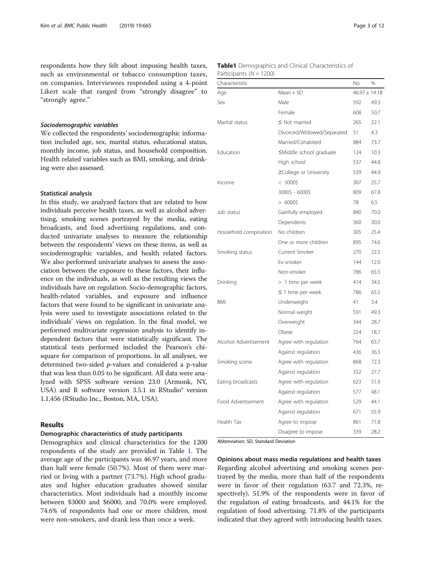respondents how they felt about imposing health taxes, such as environmental or tobacco consumption taxes, on companies. Interviewees responded using a 4-point Likert scale that ranged from "strongly disagree" to "strongly agree."

#### Sociodemographic variables

We collected the respondents' sociodemographic information included age, sex, marital status, educational status, monthly income, job status, and household composition. Health related variables such as BMI, smoking, and drinking were also assessed.

#### Statistical analysis

In this study, we analyzed factors that are related to how individuals perceive health taxes, as well as alcohol advertising, smoking scenes portrayed by the media, eating broadcasts, and food advertising regulations, and conducted univariate analyses to measure the relationship between the respondents' views on these items, as well as sociodemographic variables, and health related factors. We also performed univariate analyses to assess the association between the exposure to these factors, their influence on the individuals, as well as the resulting views the individuals have on regulation. Socio-demographic factors, health-related variables, and exposure and influence factors that were found to be significant in univariate analysis were used to investigate associations related to the individuals' views on regulation. In the final model, we performed multivariate regression analysis to identify independent factors that were statistically significant. The statistical tests performed included the Pearson's chisquare for comparison of proportions. In all analyses, we determined two-sided p-values and considered a p-value that was less than 0.05 to be significant. All data were analyzed with SPSS software version 23.0 (Armonk, NY, USA) and R software version 3.5.1 in RStudio® version 1.1.456 (RStudio Inc., Boston, MA, USA).

#### Results

#### Demographic characteristics of study participants

Demographics and clinical characteristics for the 1200 respondents of the study are provided in Table 1. The average age of the participants was 46.97 years, and more than half were female (50.7%). Most of them were married or living with a partner (73.7%). High school graduates and higher education graduates showed similar characteristics. Most individuals had a monthly income between \$3000 and \$6000, and 70.0% were employed. 74.6% of respondents had one or more children, most were non-smokers, and drank less than once a week.

| <b>Table1</b> Demographics and Clinical Characteristics of |  |  |
|------------------------------------------------------------|--|--|
| Participants $(N = 1200)$                                  |  |  |

| Characteristic        |                            | No                | %    |
|-----------------------|----------------------------|-------------------|------|
| Age                   | $Mean + SD$                | $46.97 \pm 14.18$ |      |
| Sex                   | Male                       | 592               | 49.3 |
|                       | Female                     | 608               | 50.7 |
| Marital status        | $\leq$ Not married         | 265               | 22.1 |
|                       | Divorced/Widowed/Separated | 51                | 4.3  |
|                       | Married/Cohabited          | 884               | 73.7 |
| Education             | ≤Middle school graduate    | 124               | 10.3 |
|                       | High school                | 537               | 44.8 |
|                       | ≥College or University     | 539               | 44.9 |
| Income                | $< 3000$ \$                | 307               | 25.7 |
|                       | 3000\$ - 6000\$            | 809               | 67.8 |
|                       | $> 6000$ \$                | 78                | 6.5  |
| Job status            | Gainfully employed         | 840               | 70.0 |
|                       | Dependents                 | 360               | 30.0 |
| Household composition | No children                | 305               | 25.4 |
|                       | One or more children       | 895               | 74.6 |
| Smoking status        | Current Smoker             | 270               | 22.5 |
|                       | Ex-smoker                  | 144               | 12.0 |
|                       | Non-smoker                 | 786               | 65.5 |
| Drinking              | > 1 time per week          | 414               | 34.5 |
|                       | $\leq$ 1 time per week     | 786               | 65.5 |
| BMI                   | Underweight                | 41                | 3.4  |
|                       | Normal weight              | 591               | 49.3 |
|                       | Overweight                 | 344               | 28.7 |
|                       | Obese                      | 224               | 18.7 |
| Alcohol Advertisement | Agree with regulation      | 764               | 63.7 |
|                       | Against regulation         | 436               | 36.3 |
| Smoking scene         | Agree with regulation      | 868               | 72.3 |
|                       | Against regulation         | 332               | 27.7 |
| Eating broadcasts     | Agree with regulation      | 623               | 51.9 |
|                       | Against regulation         | 577               | 48.1 |
| Food Advertisement    | Agree with regulation      | 529               | 44.1 |
|                       | Against regulation         | 671               | 55.9 |
| Health Tax            | Agree to impose            | 861               | 71.8 |
|                       | Disagree to impose         | 339               | 28.2 |

Abbreviation: SD, Standard Deviation

Opinions about mass media regulations and health taxes Regarding alcohol advertising and smoking scenes portrayed by the media, more than half of the respondents were in favor of their regulation (63.7 and 72.3%, respectively). 51.9% of the respondents were in favor of the regulation of eating broadcasts, and 44.1% for the regulation of food advertising. 71.8% of the participants indicated that they agreed with introducing health taxes.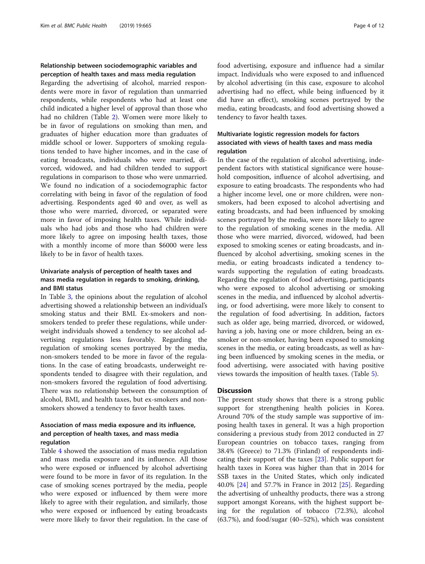#### Relationship between sociodemographic variables and perception of health taxes and mass media regulation

Regarding the advertising of alcohol, married respondents were more in favor of regulation than unmarried respondents, while respondents who had at least one child indicated a higher level of approval than those who had no children (Table [2\)](#page-4-0). Women were more likely to be in favor of regulations on smoking than men, and graduates of higher education more than graduates of middle school or lower. Supporters of smoking regulations tended to have higher incomes, and in the case of eating broadcasts, individuals who were married, divorced, widowed, and had children tended to support regulations in comparison to those who were unmarried. We found no indication of a sociodemographic factor correlating with being in favor of the regulation of food advertising. Respondents aged 40 and over, as well as those who were married, divorced, or separated were more in favor of imposing health taxes. While individuals who had jobs and those who had children were more likely to agree on imposing health taxes, those with a monthly income of more than \$6000 were less likely to be in favor of health taxes.

#### Univariate analysis of perception of health taxes and mass media regulation in regards to smoking, drinking, and BMI status

In Table [3,](#page-5-0) the opinions about the regulation of alcohol advertising showed a relationship between an individual's smoking status and their BMI. Ex-smokers and nonsmokers tended to prefer these regulations, while underweight individuals showed a tendency to see alcohol advertising regulations less favorably. Regarding the regulation of smoking scenes portrayed by the media, non-smokers tended to be more in favor of the regulations. In the case of eating broadcasts, underweight respondents tended to disagree with their regulation, and non-smokers favored the regulation of food advertising. There was no relationship between the consumption of alcohol, BMI, and health taxes, but ex-smokers and nonsmokers showed a tendency to favor health taxes.

#### Association of mass media exposure and its influence, and perception of health taxes, and mass media regulation

Table [4](#page-6-0) showed the association of mass media regulation and mass media exposure and its influence. All those who were exposed or influenced by alcohol advertising were found to be more in favor of its regulation. In the case of smoking scenes portrayed by the media, people who were exposed or influenced by them were more likely to agree with their regulation, and similarly, those who were exposed or influenced by eating broadcasts were more likely to favor their regulation. In the case of food advertising, exposure and influence had a similar impact. Individuals who were exposed to and influenced by alcohol advertising (in this case, exposure to alcohol advertising had no effect, while being influenced by it did have an effect), smoking scenes portrayed by the media, eating broadcasts, and food advertising showed a tendency to favor health taxes.

#### Multivariate logistic regression models for factors associated with views of health taxes and mass media regulation

In the case of the regulation of alcohol advertising, independent factors with statistical significance were household composition, influence of alcohol advertising, and exposure to eating broadcasts. The respondents who had a higher income level, one or more children, were nonsmokers, had been exposed to alcohol advertising and eating broadcasts, and had been influenced by smoking scenes portrayed by the media, were more likely to agree to the regulation of smoking scenes in the media. All those who were married, divorced, widowed, had been exposed to smoking scenes or eating broadcasts, and influenced by alcohol advertising, smoking scenes in the media, or eating broadcasts indicated a tendency towards supporting the regulation of eating broadcasts. Regarding the regulation of food advertising, participants who were exposed to alcohol advertising or smoking scenes in the media, and influenced by alcohol advertising, or food advertising, were more likely to consent to the regulation of food advertising. In addition, factors such as older age, being married, divorced, or widowed, having a job, having one or more children, being an exsmoker or non-smoker, having been exposed to smoking scenes in the media, or eating broadcasts, as well as having been influenced by smoking scenes in the media, or food advertising, were associated with having positive views towards the imposition of health taxes. (Table [5](#page-7-0)).

#### **Discussion**

The present study shows that there is a strong public support for strengthening health policies in Korea. Around 70% of the study sample was supportive of imposing health taxes in general. It was a high proportion considering a previous study from 2012 conducted in 27 European countries on tobacco taxes, ranging from 38.4% (Greece) to 71.3% (Finland) of respondents indicating their support of the taxes [[23\]](#page-10-0). Public support for health taxes in Korea was higher than that in 2014 for SSB taxes in the United States, which only indicated 40.0% [\[24](#page-10-0)] and 57.7% in France in 2012 [[25\]](#page-10-0). Regarding the advertising of unhealthy products, there was a strong support amongst Koreans, with the highest support being for the regulation of tobacco (72.3%), alcohol (63.7%), and food/sugar (40–52%), which was consistent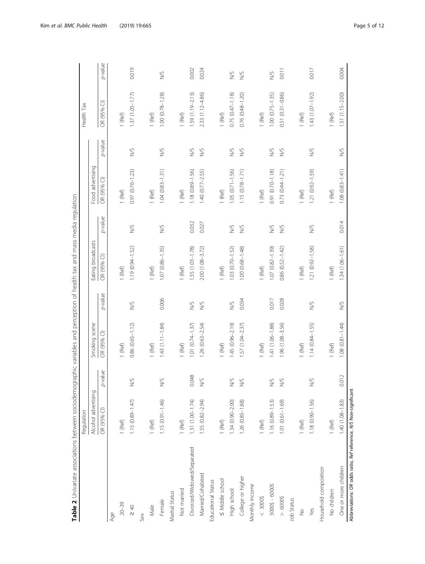<span id="page-4-0"></span>

| Alcohol advertising<br>$1.15(0.89 - 1.47)$<br>$1.15(0.91 - 1.46)$<br>OR (95% CI)<br>$1$ (Ref)<br>$1$ (Ref)<br>I (Ref)<br>Not married<br>Marital Status<br>Female<br>$20 - 39$<br>Male<br>$\geq 40$<br>Age<br>Sex | p-value<br>0.048<br>Ş<br>S | Smoking scene<br>$\widehat{\cup}$<br>OR (95% |         | Eating broadcasts      |               |                     |               |                             |               |
|------------------------------------------------------------------------------------------------------------------------------------------------------------------------------------------------------------------|----------------------------|----------------------------------------------|---------|------------------------|---------------|---------------------|---------------|-----------------------------|---------------|
|                                                                                                                                                                                                                  |                            |                                              |         |                        |               | Food advertising    |               |                             |               |
|                                                                                                                                                                                                                  |                            |                                              | p-value | OR (95% CI)            | p-value       | OR (95% CI)         | p-value       | $\widehat{\cup}$<br>OR (95% | p-value       |
|                                                                                                                                                                                                                  |                            |                                              |         |                        |               |                     |               |                             |               |
|                                                                                                                                                                                                                  |                            | 1 (Ref)                                      |         | $1$ (Ref)              |               | 1 (Ref)             |               | 1 (Ref)                     |               |
|                                                                                                                                                                                                                  |                            | $0.86(0.65 - 1.12)$                          | S       | 1.19 (0.94-1.52)       | S             | 0.97 (0.76-1.23)    | S             | $1.37(1.05 - 1.77)$         | 0.019         |
|                                                                                                                                                                                                                  |                            |                                              |         |                        |               |                     |               |                             |               |
|                                                                                                                                                                                                                  |                            | $1$ (Ref)                                    |         | $1$ (Ref)              |               | $1$ (Ref)           |               | $1$ (Ref)                   |               |
|                                                                                                                                                                                                                  |                            | $1.43(1.11 - 1.84)$                          | 0.006   | $1.07(0.86 - 1.35)$    | S             | $1.04(0.83 - 1.31)$ | S             | $1.00(0.78 - 1.28)$         | <b>NS</b>     |
|                                                                                                                                                                                                                  |                            |                                              |         |                        |               |                     |               |                             |               |
|                                                                                                                                                                                                                  |                            | 1 (Ref)                                      |         | 1 (Ref)                |               | 1 (Ref)             |               | I (Ref)                     |               |
| 1.31 (1.00-1.74)<br>Divorced/Widowed/Separated                                                                                                                                                                   |                            | $1.01(0.74 - 1.37)$                          | S       | $1.35(1.03 - 1.78)$    | 0.032         | 1.18 (0.89-1.56)    | S             | $1.59(1.19 - 2.13)$         | 0.002         |
| 1.55 (0.82-2.94)<br>Married/Cohabited                                                                                                                                                                            | Š                          | $1.26(0.63 - 2.54)$                          | S/N     | 2.00 (1.08-3.72)       | 0.027         | $1.40(0.77 - 2.55)$ | S             | 2.33 (1.12-4.86)            | 0.024         |
| Educational Status                                                                                                                                                                                               |                            |                                              |         |                        |               |                     |               |                             |               |
| $ $ (Ref)<br>< Middle school                                                                                                                                                                                     |                            | 1 (Ref)                                      |         | 1 (Ref)                |               | I (Ref)             |               | $1$ (Ref)                   |               |
| $1.34(0.90 - 2.00)$<br>High school                                                                                                                                                                               | Κ,<br>Ż                    | $1.45(0.96 - 2.19)$                          | Š       | $1.03(0.70 - 1.52)$    | S             | $1.05(0.71 - 1.56)$ | S             | $0.75(0.47 - 1.18)$         | S             |
| 1.26 (0.85-1.88)<br>College or higher                                                                                                                                                                            | $\frac{1}{2}$              | $1.57(1.04 - 2.37)$                          | 0.034   | 1.00 (0.68-1.48)       | $\lessgtr$    | $1.15(0.78 - 1.71)$ | $\geqslant$   | 0.76 (0.48-1.20)            | $\frac{5}{2}$ |
| Monthly Income                                                                                                                                                                                                   |                            |                                              |         |                        |               |                     |               |                             |               |
| I (Ref)<br>< 30005                                                                                                                                                                                               |                            | $1$ (Ref)                                    |         | $1$ (Ref)              |               | $1$ (Ref)           |               | 1 (Ref)                     |               |
| $1.16$ (0.89-1.53)<br>$30005 - 60005$                                                                                                                                                                            | ζ,<br>Ż                    | 1.41 (1.06-1.88)                             | 0.017   | $1.07(0.82 - 1.39)$    | S             | 0.91 (0.70-1.18)    | S             | $1.00(0.75 - 1.35)$         | S             |
| 1.01 (0.61-1.69)<br>$> 6000$ \$                                                                                                                                                                                  | $\lessgtr$                 | 1.96 (1.08-3.56)                             | 0.028   | $0.86$ $(0.52 - 1.42)$ | $\frac{5}{2}$ | $0.73(0.44 - 1.21)$ | $\frac{1}{2}$ | $0.51(0.31 - 0.86)$         | 0.011         |
| Job Status                                                                                                                                                                                                       |                            |                                              |         |                        |               |                     |               |                             |               |
| $1$ (Ref)<br>$\frac{1}{2}$                                                                                                                                                                                       |                            | 1 (Ref)                                      |         | $1$ (Ref)              |               | 1 (Ref)             |               | 1 (Ref)                     |               |
| 1.18 (0.90-1.56)<br>Yes                                                                                                                                                                                          | S                          | $1.14(0.84 - 1.55)$                          | S       | 1.21 (0.92-1.58)       | $\gtrapprox$  | 1.21 (0.92-1.59)    | <b>NS</b>     | $1.43(1.07 - 1.92)$         | 0.017         |
| Household composition                                                                                                                                                                                            |                            |                                              |         |                        |               |                     |               |                             |               |
| $1$ (Ref)<br>No children                                                                                                                                                                                         |                            | $1$ (Ref)                                    |         | $1$ (Ref)              |               | 1 (Ref)             |               | $1$ (Ref)                   |               |
| 1.40 (1.08-1.83)<br>One or more children                                                                                                                                                                         | 0.012                      | $1.08(0.81 - 1.44)$                          | S       | $1.34(1.06 - 1.61)$    | 0.014         | $1.08(0.83 - 1.41)$ | <b>S</b>      | 1.51 (1.15-2.00)            | 0.004         |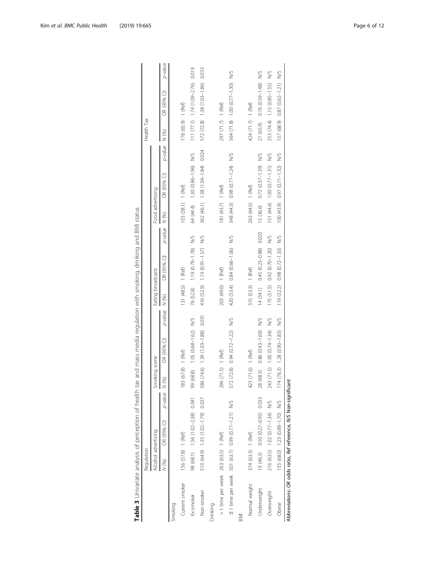<span id="page-5-0"></span>

| Table 3 Univariate analysis of perception of health tax          |                     |                                   |                    |                         | and mass media regulation with smoking, drinking and BMI status |         |                    |                                       |         |                    |                                   |         |                    |                                     |         |
|------------------------------------------------------------------|---------------------|-----------------------------------|--------------------|-------------------------|-----------------------------------------------------------------|---------|--------------------|---------------------------------------|---------|--------------------|-----------------------------------|---------|--------------------|-------------------------------------|---------|
|                                                                  | Requlation          |                                   |                    |                         |                                                                 |         |                    |                                       |         |                    |                                   |         | Health Tax         |                                     |         |
|                                                                  | Alcohol advertising |                                   |                    | Smoking scene           |                                                                 |         | Eating broadcasts  |                                       |         | Food advertising   |                                   |         |                    |                                     |         |
|                                                                  | N(96)               | OR (95% CI)                       | $p$ -value $N$ (%) |                         | OR (95% CI)                                                     | p-value | N (%)              | OR (95% CI)                           | p-value | N (%)              | OR (95% CI)                       | p-value | N (%)              | OR (95% CI)                         | p-value |
| Smoking                                                          |                     |                                   |                    |                         |                                                                 |         |                    |                                       |         |                    |                                   |         |                    |                                     |         |
| Current smoker                                                   | 156 (57.8) 1 (Ref)  |                                   |                    | $(67.8)$ 1 (Ref)<br>183 |                                                                 |         | 131 (48.5) 1 (Ref) |                                       |         | 103 (38.1) 1 (Ref) |                                   |         | 178 (65.9) 1 (Ref) |                                     |         |
| Ex-smoker                                                        |                     | 98 (68.1) 1.56 (1.02-2.38) 0.041  |                    | 99 (68.8)               | 1.05 (0.68-1.62) N/S                                            |         |                    | 76 (52.8) 1.19 (0.79-1.78) N/S        |         |                    | 64 (44.4) 1.30 (0.86-1.96) N/S    |         |                    | $111(77.1)$ $1.74(1.09-2.76)$ 0.019 |         |
| Non-smoker                                                       |                     | 510 (64.9) 1.35 (1.02-1.79) 0.037 |                    |                         | 586 (74.6) 1.39 (1.03-1.88) 0.031                               |         |                    | 416 (52.9) 1.19 (0.91-1.57) N/S       |         |                    | 362 (46.1) 1.38 (1.04-1.84) 0.024 |         |                    | 572 (72.8) 1.38 (1.03-1.86) 0.033   |         |
| Drinking                                                         |                     |                                   |                    |                         |                                                                 |         |                    |                                       |         |                    |                                   |         |                    |                                     |         |
| > 1 time per week 263 (63.5) 1 (Ref)                             |                     |                                   |                    | $(71.5)$ 1 (Ref)<br>296 |                                                                 |         | 203 (49.0) 1 (Ref) |                                       |         | 181 (43.7) 1 (Ref) |                                   |         | 297 (71.7) 1 (Ref) |                                     |         |
| ≤1 time per week 501 (63.7) 0.99 (0.77-1.27) N/5                 |                     |                                   |                    | 572 (72.8)              | 0.94 (0.72-1.22) N/S                                            |         |                    | 420 (53.4) 0.84 (0.66-1.06) N/S       |         |                    | 348 (44.3) 0.98 (0.77-1.24) N/S   |         |                    | 564 (71.8) 1.00 (0.77-1.30) N/S     |         |
| BMI                                                              |                     |                                   |                    |                         |                                                                 |         |                    |                                       |         |                    |                                   |         |                    |                                     |         |
| Normal weight                                                    | 374 (63.3) 1 (Ref)  |                                   |                    | $(71.6)$ 1 (Ref)<br>423 |                                                                 |         | 315 (53.3) 1 (Ref) |                                       |         | 263 (44.5) 1 (Ref) |                                   |         | 424 (71.7) 1 (Ref) |                                     |         |
| Underweight                                                      |                     | 19 (46.3) 0.50 (0.27-0.95) 0.033  |                    | 28 (68.3)               | $0.86(0.43 - 1.69)$                                             | ΣN      |                    | 14 (34.1) 0.45 (0.23-0.88) 0.020      |         | 15 (36.6)          | $0.72(0.37 - 1.39)$               | Š       | 27 (65.9)          | $0.76$ (0.39-1.48) N/S              |         |
| Overweight                                                       |                     | 216 (63.5) 1.02 (0.77-1.34) N/S   |                    | 243                     | $(71.5)$ 1.00 $(0.74 - 1.34)$ N/S                               |         |                    | 175 (51.5) 0.92 (0.70-1.20) N/S       |         |                    | 151 (44.4) 1.00 (0.77-1.31) N/S   |         |                    | 253 (74.4) 1.15 (0.85-1.55) N/S     |         |
| Obese                                                            |                     | 155 (68.0) 1.23 (0.88-1.70) N/S   |                    |                         | $174(76.3)$ 1.28 (0.90-1.83) N/S                                |         |                    | 119 $(52.2)$ 0.98 $(0.72 - 1.33)$ N/S |         |                    | 100 (43.9) 0.97 (0.71-1.32) N/S   |         |                    | 157 (68.9) 0.87 (0.62-1.21) N/S     |         |
| Abbreviations: OR odds ratio, Ref reference, N/S Non-significant |                     |                                   |                    |                         |                                                                 |         |                    |                                       |         |                    |                                   |         |                    |                                     |         |

Table 3 Univariate analysis of perception of health tax and mass media regulation with smoking, drinking and BMI status  $\overline{AB}$ منامنہ<br>منا ء.<br>چ  $rac{1}{\sqrt{2}}$  $\frac{1}{2}$  $\frac{1}{2}$  $\frac{1}{\tau}$  $\frac{4}{1}$  $\frac{1}{2}$  $\frac{1}{1}$  $\frac{1}{4}$ خنصاه  $\frac{1}{2}$  $\frac{3}{10}$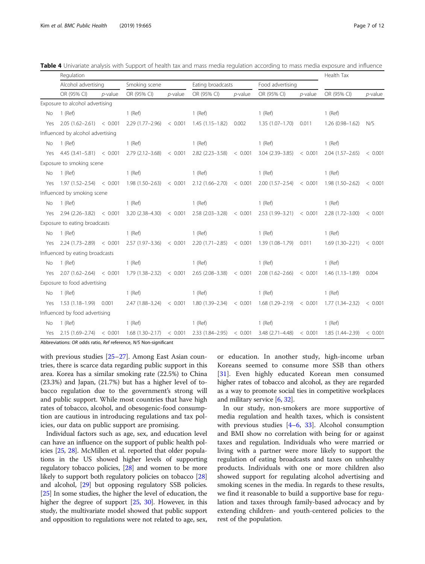|     | Regulation                        |            |                     |            |                     |            |                           |            | Health Tax          |            |
|-----|-----------------------------------|------------|---------------------|------------|---------------------|------------|---------------------------|------------|---------------------|------------|
|     | Alcohol advertising               |            | Smoking scene       |            | Eating broadcasts   |            | Food advertising          |            |                     |            |
|     | OR (95% CI)                       | $p$ -value | OR (95% CI)         | $p$ -value | OR (95% CI)         | $p$ -value | OR (95% CI)               | $p$ -value | OR (95% CI)         | $p$ -value |
|     | Exposure to alcohol advertising   |            |                     |            |                     |            |                           |            |                     |            |
| No  | $1$ (Ref)                         |            | $1$ (Ref)           |            | $1$ (Ref)           |            | $1$ (Ref)                 |            | $1$ (Ref)           |            |
| Yes | $2.05(1.62-2.61) < 0.001$         |            | $2.29(1.77 - 2.96)$ | < 0.001    | $1.45(1.15 - 1.82)$ | 0.002      | $1.35(1.07 - 1.70)$       | 0.011      | $1.26(0.98 - 1.62)$ | N/S        |
|     | Influenced by alcohol advertising |            |                     |            |                     |            |                           |            |                     |            |
| No  | $1$ (Ref)                         |            | $1$ (Ref)           |            | $1$ (Ref)           |            | $1$ (Ref)                 |            | $1$ (Ref)           |            |
| Yes | $4.45(3.41 - 5.81) < 0.001$       |            | $2.79(2.12 - 3.68)$ | < 0.001    | $2.82(2.23 - 3.58)$ | < 0.001    | $3.04(2.39 - 3.85)$       | < 0.001    | $2.04(1.57-2.65)$   | < 0.001    |
|     | Exposure to smoking scene         |            |                     |            |                     |            |                           |            |                     |            |
| No  | $1$ (Ref)                         |            | $1$ (Ref)           |            | $1$ (Ref)           |            | $1$ (Ref)                 |            | $1$ (Ref)           |            |
| Yes | $1.97(1.52 - 2.54) < 0.001$       |            | 1.98 (1.50-2.63)    | < 0.001    | $2.12(1.66 - 2.70)$ | < 0.001    | $2.00(1.57-2.54) < 0.001$ |            | $1.98(1.50 - 2.62)$ | < 0.001    |
|     | Influenced by smoking scene       |            |                     |            |                     |            |                           |            |                     |            |
| No  | $1$ (Ref)                         |            | $1$ (Ref)           |            | $1$ (Ref)           |            | $1$ (Ref)                 |            | $1$ (Ref)           |            |
| Yes | $2.94(2.26-3.82) < 0.001$         |            | 3.20 (2.38-4.30)    | < 0.001    | $2.58(2.03 - 3.28)$ | < 0.001    | 2.53 (1.99 - 3.21)        | < 0.001    | $2.28(1.72 - 3.00)$ | < 0.001    |
|     | Exposure to eating broadcasts     |            |                     |            |                     |            |                           |            |                     |            |
| No  | $1$ (Ref)                         |            | $1$ (Ref)           |            | $1$ (Ref)           |            | $1$ (Ref)                 |            | $1$ (Ref)           |            |
| Yes | $2.24(1.73-2.89) < 0.001$         |            | $2.57(1.97 - 3.36)$ | < 0.001    | $2.20(1.71 - 2.85)$ | < 0.001    | 1.39 (1.08-1.79)          | 0.011      | $1.69(1.30 - 2.21)$ | < 0.001    |
|     | Influenced by eating broadcasts   |            |                     |            |                     |            |                           |            |                     |            |
| No  | $1$ (Ref)                         |            | $1$ (Ref)           |            | $1$ (Ref)           |            | $1$ (Ref)                 |            | $1$ (Ref)           |            |
| Yes | $2.07(1.62 - 2.64) < 0.001$       |            | 1.79 (1.38–2.32)    | < 0.001    | $2.65(2.08 - 3.38)$ | < 0.001    | $2.08(1.62 - 2.66)$       | < 0.001    | $1.46(1.13 - 1.89)$ | 0.004      |
|     | Exposure to food advertising      |            |                     |            |                     |            |                           |            |                     |            |
| No  | $1$ (Ref)                         |            | $1$ (Ref)           |            | $1$ (Ref)           |            | $1$ (Ref)                 |            | $1$ (Ref)           |            |
| Yes | $1.53(1.18-1.99)$ 0.001           |            | 2.47 (1.88-3.24)    | < 0.001    | 1.80 (1.39-2.34)    | < 0.001    | $1.68(1.29-2.19) < 0.001$ |            | $1.77(1.34 - 2.32)$ | < 0.001    |
|     | Influenced by food advertising    |            |                     |            |                     |            |                           |            |                     |            |
| No  | $1$ (Ref)                         |            | $1$ (Ref)           |            | $1$ (Ref)           |            | $1$ (Ref)                 |            | $1$ (Ref)           |            |
| Yes | $2.15(1.69-2.74) < 0.001$         |            | $1.68(1.30 - 2.17)$ | < 0.001    | $2.33(1.84 - 2.95)$ | < 0.001    | $3.48(2.71 - 4.48)$       | < 0.001    | 1.85 (1.44–2.39)    | < 0.001    |

<span id="page-6-0"></span>Table 4 Univariate analysis with Support of health tax and mass media regulation according to mass media exposure and influence

Abbreviations: OR odds ratio, Ref reference, N/S Non-significant

with previous studies [\[25](#page-10-0)–[27\]](#page-10-0). Among East Asian countries, there is scarce data regarding public support in this area. Korea has a similar smoking rate (22.5%) to China (23.3%) and Japan, (21.7%) but has a higher level of tobacco regulation due to the government's strong will and public support. While most countries that have high rates of tobacco, alcohol, and obesogenic-food consumption are cautious in introducing regulations and tax policies, our data on public support are promising.

Individual factors such as age, sex, and education level can have an influence on the support of public health policies [\[25](#page-10-0), [28](#page-10-0)]. McMillen et al. reported that older populations in the US showed higher levels of supporting regulatory tobacco policies, [\[28\]](#page-10-0) and women to be more likely to support both regulatory policies on tobacco [[28](#page-10-0)] and alcohol, [\[29\]](#page-10-0) but opposing regulatory SSB policies. [[25](#page-10-0)] In some studies, the higher the level of education, the higher the degree of support [[25,](#page-10-0) [30\]](#page-10-0). However, in this study, the multivariate model showed that public support and opposition to regulations were not related to age, sex,

or education. In another study, high-income urban Koreans seemed to consume more SSB than others [[31\]](#page-10-0). Even highly educated Korean men consumed higher rates of tobacco and alcohol, as they are regarded as a way to promote social ties in competitive workplaces and military service [[6,](#page-10-0) [32\]](#page-10-0).

In our study, non-smokers are more supportive of media regulation and health taxes, which is consistent with previous studies  $[4-6, 33]$  $[4-6, 33]$  $[4-6, 33]$  $[4-6, 33]$  $[4-6, 33]$  $[4-6, 33]$ . Alcohol consumption and BMI show no correlation with being for or against taxes and regulation. Individuals who were married or living with a partner were more likely to support the regulation of eating broadcasts and taxes on unhealthy products. Individuals with one or more children also showed support for regulating alcohol advertising and smoking scenes in the media. In regards to these results, we find it reasonable to build a supportive base for regulation and taxes through family-based advocacy and by extending children- and youth-centered policies to the rest of the population.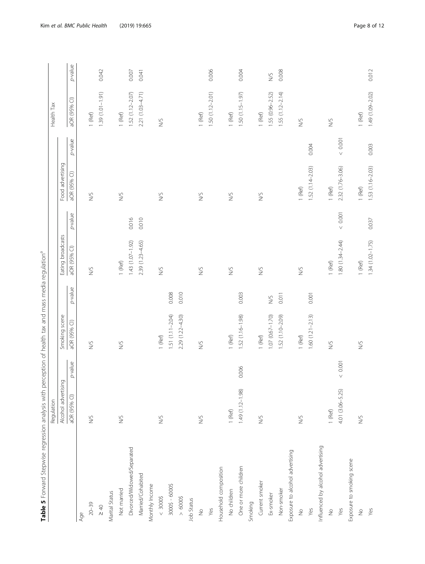<span id="page-7-0"></span>

| Table 5 Forward Stepwise regression analysis with perception of health tax and mass media regulation <sup>a</sup> | Regulation          |            |                     |         |                   |         |                  |            | Health Tax          |         |
|-------------------------------------------------------------------------------------------------------------------|---------------------|------------|---------------------|---------|-------------------|---------|------------------|------------|---------------------|---------|
|                                                                                                                   | Alcohol advertising |            | Smoking scene       |         | Eating broadcasts |         | Food advertising |            |                     |         |
|                                                                                                                   | aOR (95% CI)        | p-value    | aOR (95% CI)        | p-value | aOR (95% Cl)      | p-value | aOR (95% CI)     | p-value    | aOR (95% CI)        | p-value |
| Age                                                                                                               |                     |            |                     |         |                   |         |                  |            |                     |         |
| $20 - 39$                                                                                                         | $\frac{1}{2}$       |            | $\sum_{i=1}^{n}$    |         | $\frac{1}{2}$     |         | $\sum_{i=1}^{n}$ |            | $1$ (Ref)           |         |
| $\geq 40$                                                                                                         |                     |            |                     |         |                   |         |                  |            | 1.39 (1.01-1.91)    | 0.042   |
| Marital Status                                                                                                    |                     |            |                     |         |                   |         |                  |            |                     |         |
| Not married                                                                                                       | S/                  |            | $\frac{1}{2}$       |         | $1$ (Ref)         |         | $\frac{1}{2}$    |            | $1$ (Ref)           |         |
| Divorced/Widowed/Separated                                                                                        |                     |            |                     |         | 1.43 (1.07-1.92)  | 0.016   |                  |            | 1.52 (1.12-2.07)    | 0.007   |
| Married/Cohabited                                                                                                 |                     |            |                     |         | 2.39 (1.23-4.65)  | 0.010   |                  |            | 2.21 (1.03-4.71)    | 0.041   |
| Monthly Income                                                                                                    |                     |            |                     |         |                   |         |                  |            |                     |         |
| $< 3000$                                                                                                          | $\frac{1}{2}$       |            | $1$ (Ref)           |         | $\frac{1}{2}$     |         | S                |            | $\gtrapprox$        |         |
| $30005 - 60005$                                                                                                   |                     |            | $1.51(1.11 - 2.04)$ | 0.008   |                   |         |                  |            |                     |         |
| $> 6000$                                                                                                          |                     |            | 2.29 (1.22-4.30)    | 0.010   |                   |         |                  |            |                     |         |
| Job Status                                                                                                        |                     |            |                     |         |                   |         |                  |            |                     |         |
| $\frac{1}{2}$                                                                                                     | $\frac{1}{2}$       |            | S                   |         | S                 |         | $^{5}$           |            | $1$ (Ref)           |         |
| Yes                                                                                                               |                     |            |                     |         |                   |         |                  |            | $1.50(1.12 - 2.01)$ | 0.006   |
| Household composition                                                                                             |                     |            |                     |         |                   |         |                  |            |                     |         |
| No children                                                                                                       | $1$ (Ref)           |            | $1$ (Ref)           |         | S                 |         | <b>NS</b>        |            | $1$ (Ref)           |         |
| One or more children                                                                                              | 1.49 (1.12-1.98)    | 0.006      | $1.52(1.16 - 1.98)$ | 0.003   |                   |         |                  |            | $1.50(1.15 - 1.97)$ | 0.004   |
| Smoking                                                                                                           |                     |            |                     |         |                   |         |                  |            |                     |         |
| Current smoker                                                                                                    | S                   |            | $1$ (Ref)           |         | S                 |         | S                |            | $1$ (Ref)           |         |
| Ex-smoker                                                                                                         |                     |            | $1.07(0.67 - 1.70)$ | $^{5}$  |                   |         |                  |            | $1.55(0.96 - 2.52)$ | S       |
| Non-smoker                                                                                                        |                     |            | 1.52 (1.10-2.09)    | 0.011   |                   |         |                  |            | $1.55(1.12 - 2.14)$ | 0.008   |
| Exposure to alcohol advertising                                                                                   |                     |            |                     |         |                   |         |                  |            |                     |         |
| $\stackrel{\circ}{\geq}$                                                                                          | $\frac{1}{2}$       |            | $1$ (Ref)           |         | $\frac{1}{2}$     |         | $1$ (Ref)        |            | $\frac{5}{2}$       |         |
| Yes                                                                                                               |                     |            | $1.60(1.21 - 2.13)$ | 0.001   |                   |         | 1.52 (1.14-2.03) | 0.004      |                     |         |
| Influenced by alcohol advertising                                                                                 |                     |            |                     |         |                   |         |                  |            |                     |         |
| $\stackrel{\circ}{\geq}$                                                                                          | $1$ (Ref)           |            | <b>S/N</b>          |         | $1$ (Ref)         |         | $1$ (Ref)        |            | S                   |         |
| Yes                                                                                                               | 4.01 (3.06-5.25)    | $<\,0.001$ |                     |         | 1.80 (1.34-2.44)  | 0.001   | 2.32 (1.76-3.06) | $<\,0.001$ |                     |         |
| Exposure to smoking scene                                                                                         |                     |            |                     |         |                   |         |                  |            |                     |         |
| $\frac{1}{2}$                                                                                                     | $\frac{1}{2}$       |            | $\frac{1}{2}$       |         | $1$ (Ref)         |         | $1$ (Ref)        |            | $1$ (Ref)           |         |
| Yes                                                                                                               |                     |            |                     |         | 1.34 (1.02-1.75)  | 0.037   | 1.53 (1.16-2.03) | 0.003      | 1.49 (1.09-2.02)    | 0.012   |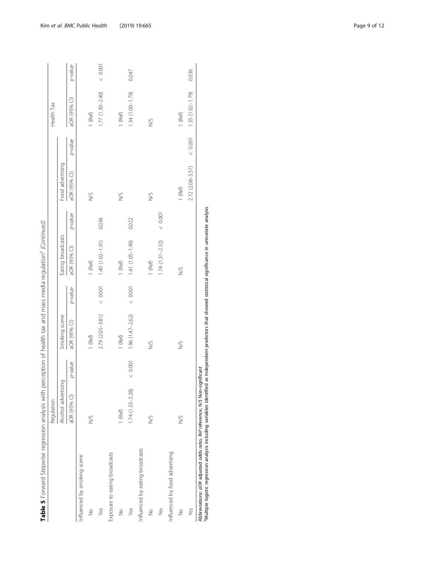|                                 | Requlation          |          |                     |          |                     |         |                  |         | Health Tax          |         |
|---------------------------------|---------------------|----------|---------------------|----------|---------------------|---------|------------------|---------|---------------------|---------|
|                                 | Alcohol advertising |          | Smoking scene       |          | Eating broadcasts   |         | Food advertising |         |                     |         |
|                                 | aOR (95% CI)        | p-value  | aOR (95% CI)        | p-value  | aOR (95% CI)        | p-value | aOR (95% CI)     | p-value | aOR (95% CI)        | p-value |
| Influenced by smoking scene     |                     |          |                     |          |                     |         |                  |         |                     |         |
| $\frac{1}{2}$                   | Ş                   |          | 1 (Ref)             |          | $1$ (Ref)           |         | Ş                |         | 1 (Ref)             |         |
| Yes                             |                     |          | 2.79 (2.05-3.81)    | 0.001    | 1.40 (1.02-1.91)    | 0.036   |                  |         | $1.77(1.30 - 2.40)$ | 0.001   |
| Exposure to eating broadcasts   |                     |          |                     |          |                     |         |                  |         |                     |         |
| $\frac{1}{2}$                   | 1 (Ref)             |          | 1 (Ref)             |          | $1$ (Ref)           |         | Ş                |         | 1 (Ref)             |         |
| Yes                             | $1.74(1.33 - 2.28)$ | $<0.001$ | $1.96(1.47 - 2.62)$ | $<0.001$ | 1.41 (1.05-1.90)    | 0.022   |                  |         | $1.34(1.00 - 1.79)$ | 0.047   |
| Influenced by eating broadcasts |                     |          |                     |          |                     |         |                  |         |                     |         |
| $\frac{1}{2}$                   | S                   |          | $\frac{1}{2}$       |          | 1 (Ref)             |         | <b>S</b>         |         | Š                   |         |
| Yes                             |                     |          |                     |          | $1.74(1.31 - 2.32)$ | 0.001   |                  |         |                     |         |
| Influenced by food advertising  |                     |          |                     |          |                     |         |                  |         |                     |         |
| $\frac{1}{2}$                   | Ş                   |          | Ş                   |          | Ş                   |         | $1$ (Ref)        |         | 1 (Ref)             |         |
| Yes                             |                     |          |                     |          |                     |         | 2.72 (2.08-3.57) | 0.001   | $1.35(1.02 - 1.79)$ | 0.036   |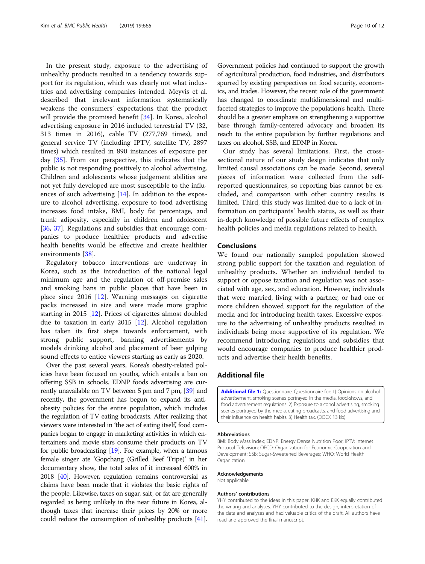<span id="page-9-0"></span>In the present study, exposure to the advertising of unhealthy products resulted in a tendency towards support for its regulation, which was clearly not what industries and advertising companies intended. Meyvis et al. described that irrelevant information systematically weakens the consumers' expectations that the product will provide the promised benefit [[34\]](#page-10-0). In Korea, alcohol advertising exposure in 2016 included terrestrial TV (32, 313 times in 2016), cable TV (277,769 times), and general service TV (including IPTV, satellite TV, 2897 times) which resulted in 890 instances of exposure per day [[35](#page-10-0)]. From our perspective, this indicates that the public is not responding positively to alcohol advertising. Children and adolescents whose judgement abilities are not yet fully developed are most susceptible to the influences of such advertising [\[14](#page-10-0)]. In addition to the exposure to alcohol advertising, exposure to food advertising increases food intake, BMI, body fat percentage, and trunk adiposity, especially in children and adolescent [[36,](#page-10-0) [37](#page-11-0)]. Regulations and subsidies that encourage companies to produce healthier products and advertise health benefits would be effective and create healthier environments [[38\]](#page-11-0).

Regulatory tobacco interventions are underway in Korea, such as the introduction of the national legal minimum age and the regulation of off-premise sales and smoking bans in public places that have been in place since 2016 [\[12](#page-10-0)]. Warning messages on cigarette packs increased in size and were made more graphic starting in 2015 [\[12\]](#page-10-0). Prices of cigarettes almost doubled due to taxation in early 2015 [\[12](#page-10-0)]. Alcohol regulation has taken its first steps towards enforcement, with strong public support, banning advertisements by models drinking alcohol and placement of beer gulping sound effects to entice viewers starting as early as 2020.

Over the past several years, Korea's obesity-related policies have been focused on youths, which entails a ban on offering SSB in schools. EDNP foods advertising are currently unavailable on TV between 5 pm and 7 pm, [[39\]](#page-11-0) and recently, the government has begun to expand its antiobesity policies for the entire population, which includes the regulation of TV eating broadcasts. After realizing that viewers were interested in 'the act of eating itself,' food companies began to engage in marketing activities in which entertainers and movie stars consume their products on TV for public broadcasting [[19](#page-10-0)]. For example, when a famous female singer ate 'Gopchang (Grilled Beef Tripe)' in her documentary show, the total sales of it increased 600% in 2018 [\[40](#page-11-0)]. However, regulation remains controversial as claims have been made that it violates the basic rights of the people. Likewise, taxes on sugar, salt, or fat are generally regarded as being unlikely in the near future in Korea, although taxes that increase their prices by 20% or more could reduce the consumption of unhealthy products [\[41](#page-11-0)].

Government policies had continued to support the growth of agricultural production, food industries, and distributors spurred by existing perspectives on food security, economics, and trades. However, the recent role of the government has changed to coordinate multidimensional and multifaceted strategies to improve the population's health. There should be a greater emphasis on strengthening a supportive base through family-centered advocacy and broaden its reach to the entire population by further regulations and taxes on alcohol, SSB, and EDNP in Korea.

Our study has several limitations. First, the crosssectional nature of our study design indicates that only limited causal associations can be made. Second, several pieces of information were collected from the selfreported questionnaires, so reporting bias cannot be excluded, and comparison with other country results is limited. Third, this study was limited due to a lack of information on participants' health status, as well as their in-depth knowledge of possible future effects of complex health policies and media regulations related to health.

#### Conclusions

We found our nationally sampled population showed strong public support for the taxation and regulation of unhealthy products. Whether an individual tended to support or oppose taxation and regulation was not associated with age, sex, and education. However, individuals that were married, living with a partner, or had one or more children showed support for the regulation of the media and for introducing health taxes. Excessive exposure to the advertising of unhealthy products resulted in individuals being more supportive of its regulation. We recommend introducing regulations and subsidies that would encourage companies to produce healthier products and advertise their health benefits.

#### Additional file

[Additional file 1:](https://doi.org/10.1186/s12889-019-7044-2) Questionnaire. Questionnaire for: 1) Opinions on alcohol advertisement, smoking scenes portrayed in the media, food-shows, and food advertisement regulations. 2) Exposure to alcohol advertising, smoking scenes portrayed by the media, eating broadcasts, and food advertising and their influence on health habits. 3) Health tax. (DOCX 13 kb)

#### Abbreviations

BMI: Body Mass Index; EDNP: Energy Dense Nutrition Poor; IPTV: Internet Protocol Television; OECD: Organization for Economic Cooperation and Development; SSB: Sugar-Sweetened Beverages; WHO: World Health **Organization** 

#### Acknowledgements

Not applicable.

#### Authors' contributions

YHY contributed to the ideas in this paper. KHK and EKK equally contributed the writing and analyses. YHY contributed to the design, interpretation of the data and analyses and had valuable critics of the draft. All authors have read and approved the final manuscript.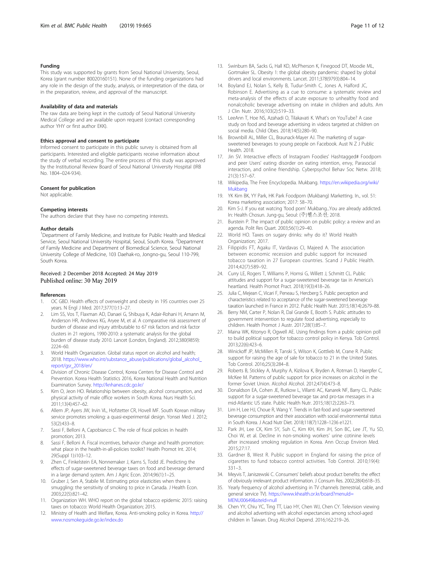#### <span id="page-10-0"></span>Funding

This study was supported by grants from Seoul National University, Seoul, Korea (grant number 80020160151). None of the funding organizations had any role in the design of the study, analysis, or interpretation of the data, or in the preparation, review, and approval of the manuscript.

#### Availability of data and materials

The raw data are being kept in the custody of Seoul National University Medical College and are available upon request (contact corresponding author YHY or first author EKK).

#### Ethics approval and consent to participate

Informed consent to participate in this public survey is obtained from all participants. Interested and eligible participants receive information about the study of verbal recording. The entire process of this study was approved by the Institutional Review Board of Seoul National University Hospital (IRB No. 1804–024-934).

#### Consent for publication

Not applicable.

#### Competing interests

The authors declare that they have no competing interests.

#### Author details

<sup>1</sup>Department of Family Medicine, and Institute for Public Health and Medical Service, Seoul National University Hospital, Seoul, South Korea. <sup>2</sup>Department of Family Medicine and Department of Biomedical Science, Seoul National University College of Medicine, 103 Daehak-ro, Jongno-gu, Seoul 110-799, South Korea.

#### Received: 2 December 2018 Accepted: 24 May 2019 Published online: 30 May 2019

#### References

- 1. OC GBD. Health effects of overweight and obesity in 195 countries over 25 years. N Engl J Med. 2017;377(1):13–27.
- 2. Lim SS, Vos T, Flaxman AD, Danaei G, Shibuya K, Adair-Rohani H, Amann M, Anderson HR, Andrews KG, Aryee M, et al. A comparative risk assessment of burden of disease and injury attributable to 67 risk factors and risk factor clusters in 21 regions, 1990-2010: a systematic analysis for the global burden of disease study 2010. Lancet (London, England). 2012;380(9859): 2224–60.
- 3. World Health Organization. Global status report on alcohol and health; 2018. [https://www.who.int/substance\\_abuse/publications/global\\_alcohol\\_](https://www.who.int/substance_abuse/publications/global_alcohol_report/gsr_2018/en/) [report/gsr\\_2018/en/](https://www.who.int/substance_abuse/publications/global_alcohol_report/gsr_2018/en/)
- 4. Division of Chronic Disease Control, Korea Centers for Disease Control and Prevention. Korea Health Statistics 2016, Korea National Health and Nutrition Examination Survey. <http://knhanes.cdc.go.kr/>
- Kim O, Jeon HO. Relationship between obesity, alcohol consumption, and physical activity of male office workers in South Korea. Nurs Health Sci. 2011;13(4):457–62.
- 6. Allem JP, Ayers JW, Irvin VL, Hofstetter CR, Hovell MF. South Korean military service promotes smoking: a quasi-experimental design. Yonsei Med J. 2012; 53(2):433–8.
- 7. Sassi F, Belloni A, Capobianco C. The role of fiscal policies in health promotion; 2013.
- 8. Sassi F, Belloni A. Fiscal incentives, behavior change and health promotion: what place in the health-in-all-policies toolkit? Health Promot Int. 2014; 29(Suppl 1):i103–12.
- Zhen C, Finkelstein EA, Nonnemaker J, Karns S, Todd JE. Predicting the effects of sugar-sweetened beverage taxes on food and beverage demand in a large demand system. Am J Agric Econ. 2014;96(1):1–25.
- 10. Gruber J, Sen A, Stabile M. Estimating price elasticities when there is smuggling: the sensitivity of smoking to price in Canada. J Health Econ. 2003;22(5):821–42.
- 11. Organization WH. WHO report on the global tobacco epidemic 2015: raising taxes on tobacco: World Health Organization; 2015.
- 12. Ministry of Health and Welfare, Korea. Anti-smoking policy in Korea. [http://](http://www.nosmokeguide.go.kr/index.do) [www.nosmokeguide.go.kr/index.do](http://www.nosmokeguide.go.kr/index.do)
- 13. Swinburn BA, Sacks G, Hall KD, McPherson K, Finegood DT, Moodie ML, Gortmaker SL. Obesity 1: the global obesity pandemic: shaped by global drivers and local environments. Lancet. 2011;378(9793):804–14.
- 14. Boyland EJ, Nolan S, Kelly B, Tudur-Smith C, Jones A, Halford JC, Robinson E. Advertising as a cue to consume: a systematic review and meta-analysis of the effects of acute exposure to unhealthy food and nonalcoholic beverage advertising on intake in children and adults. Am J Clin Nutr. 2016;103(2):519–33.
- 15. LeeAnn T, Hoe NS, Azahadi O, Tilakavati K. What's on YouTube? A case study on food and beverage advertising in videos targeted at children on social media. Child Obes. 2018;14(5):280–90.
- 16. Brownbill AL, Miller CL, Braunack-Mayer AJ. The marketing of sugarsweetened beverages to young people on Facebook. Aust N Z J Public Health. 2018.
- 17. Jin SV. Interactive effects of Instagram Foodies' Hashtagged# Foodporn and peer Users' eating disorder on eating intention, envy, Parasocial interaction, and online friendship. Cyberpsychol Behav Soc Netw. 2018; 21(3):157–67.
- 18. Wikipedia, The Free Encyclopedia. Mukbang. [https://en.wikipedia.org/wiki/](https://en.wikipedia.org/wiki/Mukbang) [Mukbang](https://en.wikipedia.org/wiki/Mukbang)
- 19. YK Kim BK, YY Park, HK Park Foodporn (Mukbang) Marketting. In., vol. 51: Korea marketing association; 2017: 58–70.
- 20. Kim S-J. If you eat watcing 'food porn' Mukbang...You are already addicted. In: Health Chosun. Jung-gu, Seoul: (주)헬스조선; 2018.
- 21. Burstein P. The impact of public opinion on public policy: a review and an agenda. Polit Res Quart. 2003;56(1):29–40.
- 22. World HO. Taxes on sugary drinks: why do it? World Health Organization; 2017.
- 23. Filippidis FT, Agaku IT, Vardavas CI, Majeed A. The association between economic recession and public support for increased tobacco taxation in 27 European countries. Scand J Public Health. 2014;42(7):589–92.
- 24. Curry LE, Rogers T, Williams P, Homsi G, Willett J, Schmitt CL. Public attitudes and support for a sugar-sweetened beverage tax in America's heartland. Health Promot Pract. 2018;19(3):418–26.
- 25. Julia C, Mejean C, Vicari F, Peneau S, Hercberg S. Public perception and characteristics related to acceptance of the sugar-sweetened beverage taxation launched in France in 2012. Public Health Nutr. 2015;18(14):2679–88.
- 26. Berry NM, Carter P, Nolan R, Dal Grande E, Booth S. Public attitudes to government intervention to regulate food advertising, especially to children. Health Promot J Austr. 2017;28(1):85–7.
- 27. Maina WK, Kitonyo R, Ogwell AE. Using findings from a public opinion poll to build political support for tobacco control policy in Kenya. Tob Control. 2013;22(6):423–6.
- 28. Winickoff JP, McMillen R, Tanski S, Wilson K, Gottlieb M, Crane R. Public support for raising the age of sale for tobacco to 21 in the United States. Tob Control. 2016;25(3):284–8.
- 29. Roberts B, Stickley A, Murphy A, Kizilova K, Bryden A, Rotman D, Haerpfer C, McKee M. Patterns of public support for price increases on alcohol in the former Soviet Union. Alcohol Alcohol. 2012;47(4):473–8.
- 30. Donaldson EA, Cohen JE, Rutkow L, Villanti AC, Kanarek NF, Barry CL. Public support for a sugar-sweetened beverage tax and pro-tax messages in a mid-Atlantic US state. Public Health Nutr. 2015;18(12):2263–73.
- 31. Lim H, Lee HJ, Choue R, Wang Y. Trends in fast-food and sugar-sweetened beverage consumption and their association with social environmental status in South Korea. J Acad Nutr Diet. 2018;118(7):1228–1236 e1221.
- 32. Park JH, Lee CK, Kim SY, Suh C, Kim KH, Kim JH, Son BC, Lee JT, Yu SD, Choi W, et al. Decline in non-smoking workers' urine cotinine levels after increased smoking regulation in Korea. Ann Occup Environ Med. 2015;27:17.
- 33. Gardner B, West R. Public support in England for raising the price of cigarettes to fund tobacco control activities. Tob Control. 2010;19(4): 331–3.
- 34. Meyvis T, Janiszewski C. Consumers' beliefs about product benefits: the effect of obviously irrelevant product information. J Consum Res. 2002;28(4):618–35.
- 35. Yearly frequency of alcohol advertising in TV channels (terrestrial, cable, and general service TV). [https://www.khealth.or.kr/board?menuId=](https://www.khealth.or.kr/board?menuId=MENU00649&siteId=null) [MENU00649&siteId=null](https://www.khealth.or.kr/board?menuId=MENU00649&siteId=null)
- 36. Chen YY, Chiu YC, Ting TT, Liao HY, Chen WJ, Chen CY. Television viewing and alcohol advertising with alcohol expectancies among school-aged children in Taiwan. Drug Alcohol Depend. 2016;162:219–26.